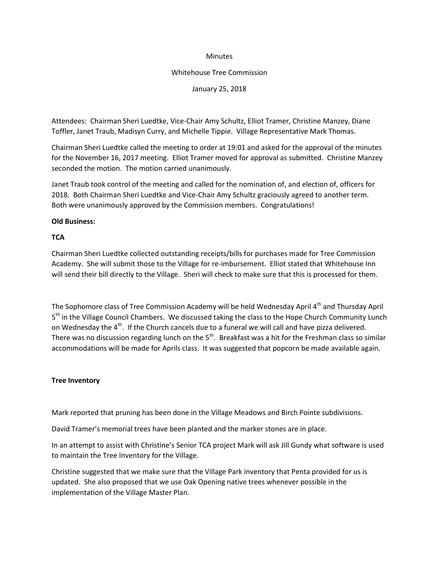### **Minutes**

### Whitehouse Tree Commission

January 25, 2018

Attendees: Chairman Sheri Luedtke, Vice-Chair Amy Schultz, Elliot Tramer, Christine Manzey, Diane Toffler, Janet Traub, Madisyn Curry, and Michelle Tippie. Village Representative Mark Thomas.

Chairman Sheri Luedtke called the meeting to order at 19:01 and asked for the approval of the minutes for the November 16, 2017 meeting. Elliot Tramer moved for approval as submitted. Christine Manzey seconded the motion. The motion carried unanimously.

Janet Traub took control of the meeting and called for the nomination of, and election of, officers for 2018. Both Chairman Sheri Luedtke and Vice-Chair Amy Schultz graciously agreed to another term. Both were unanimously approved by the Commission members. Congratulations!

# **Old Business:**

# **TCA**

Chairman Sheri Luedtke collected outstanding receipts/bills for purchases made for Tree Commission Academy. She will submit those to the Village for re-imbursement. Elliot stated that Whitehouse Inn will send their bill directly to the Village. Sheri will check to make sure that this is processed for them.

The Sophomore class of Tree Commission Academy will be held Wednesday April 4<sup>th</sup> and Thursday April 5<sup>th</sup> in the Village Council Chambers. We discussed taking the class to the Hope Church Community Lunch on Wednesday the 4<sup>th</sup>. If the Church cancels due to a funeral we will call and have pizza delivered. There was no discussion regarding lunch on the  $5<sup>th</sup>$ . Breakfast was a hit for the Freshman class so similar accommodations will be made for Aprils class. It was suggested that popcorn be made available again.

### **Tree Inventory**

Mark reported that pruning has been done in the Village Meadows and Birch Pointe subdivisions.

David Tramer's memorial trees have been planted and the marker stones are in place.

In an attempt to assist with Christine's Senior TCA project Mark will ask Jill Gundy what software is used to maintain the Tree Inventory for the Village.

Christine suggested that we make sure that the Village Park inventory that Penta provided for us is updated. She also proposed that we use Oak Opening native trees whenever possible in the implementation of the Village Master Plan.